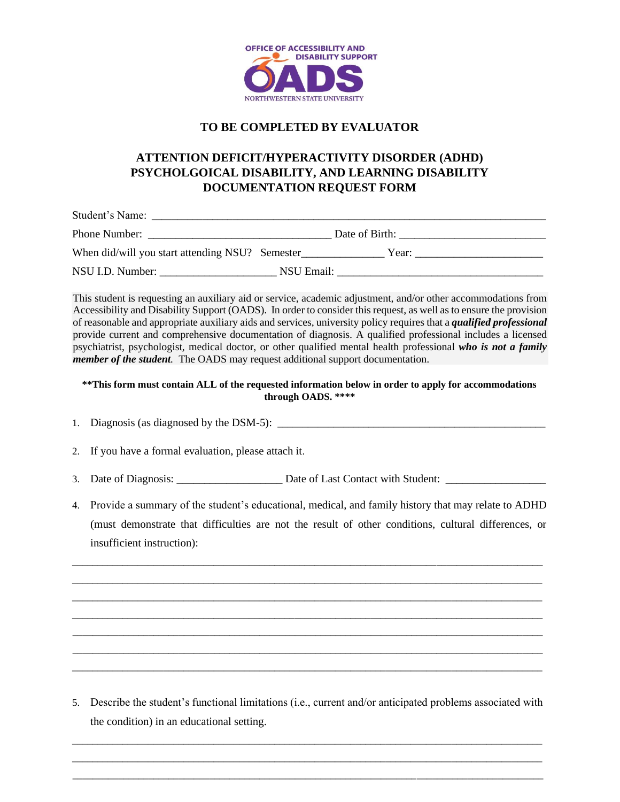

### **TO BE COMPLETED BY EVALUATOR**

## **ATTENTION DEFICIT/HYPERACTIVITY DISORDER (ADHD) PSYCHOLGOICAL DISABILITY, AND LEARNING DISABILITY DOCUMENTATION REQUEST FORM**

| Student's Name:                                 |            |                |  |
|-------------------------------------------------|------------|----------------|--|
| Phone Number:                                   |            | Date of Birth: |  |
| When did/will you start attending NSU? Semester |            | Year:          |  |
| NSU I.D. Number:                                | NSU Email: |                |  |

This student is requesting an auxiliary aid or service, academic adjustment, and/or other accommodations from Accessibility and Disability Support (OADS). In order to consider this request, as well as to ensure the provision of reasonable and appropriate auxiliary aids and services, university policy requires that a *qualified professional* provide current and comprehensive documentation of diagnosis. A qualified professional includes a licensed psychiatrist, psychologist, medical doctor, or other qualified mental health professional *who is not a family member of the student.* The OADS may request additional support documentation.

#### **\*\*This form must contain ALL of the requested information below in order to apply for accommodations through OADS. \*\*\*\***

- 1. Diagnosis (as diagnosed by the DSM-5): \_\_\_\_\_\_\_\_\_\_\_\_\_\_\_\_\_\_\_\_\_\_\_\_\_\_\_\_\_\_\_\_\_\_\_\_\_\_\_\_\_\_\_\_\_\_\_\_\_\_\_\_\_
- 2. If you have a formal evaluation, please attach it.
- 3. Date of Diagnosis: \_\_\_\_\_\_\_\_\_\_\_\_\_\_\_\_\_\_\_ Date of Last Contact with Student: \_\_\_\_\_\_\_\_\_\_\_\_\_\_\_\_\_\_
- 4. Provide a summary of the student's educational, medical, and family history that may relate to ADHD (must demonstrate that difficulties are not the result of other conditions, cultural differences, or insufficient instruction):

\_\_\_\_\_\_\_\_\_\_\_\_\_\_\_\_\_\_\_\_\_\_\_\_\_\_\_\_\_\_\_\_\_\_\_\_\_\_\_\_\_\_\_\_\_\_\_\_\_\_\_\_\_\_\_\_\_\_\_\_\_\_\_\_\_\_\_\_\_\_\_\_\_\_\_\_\_\_\_\_\_\_\_\_\_\_\_\_\_\_\_\_\_  $\overline{a}$  , and the state of the state of the state of the state of the state of the state of the state of the state of the state of the state of the state of the state of the state of the state of the state of the state o  $\_$  ,  $\_$  ,  $\_$  ,  $\_$  ,  $\_$  ,  $\_$  ,  $\_$  ,  $\_$  ,  $\_$  ,  $\_$  ,  $\_$  ,  $\_$  ,  $\_$  ,  $\_$  ,  $\_$  ,  $\_$  ,  $\_$  ,  $\_$  ,  $\_$  ,  $\_$  ,  $\_$  ,  $\_$  ,  $\_$  ,  $\_$  ,  $\_$  ,  $\_$  ,  $\_$  ,  $\_$  ,  $\_$  ,  $\_$  ,  $\_$  ,  $\_$  ,  $\_$  ,  $\_$  ,  $\_$  ,  $\_$  ,  $\_$  ,  $\overline{a}$  , and the state of the state of the state of the state of the state of the state of the state of the state of the state of the state of the state of the state of the state of the state of the state of the state o \_\_\_\_\_\_\_\_\_\_\_\_\_\_\_\_\_\_\_\_\_\_\_\_\_\_\_\_\_\_\_\_\_\_\_\_\_\_\_\_\_\_\_\_\_\_\_\_\_\_\_\_\_\_\_\_\_\_\_\_\_\_\_\_\_\_\_\_\_\_\_\_\_\_\_\_\_\_\_\_\_\_\_\_\_\_\_\_\_\_\_\_\_ \_\_\_\_\_\_\_\_\_\_\_\_\_\_\_\_\_\_\_\_\_\_\_\_\_\_\_\_\_\_\_\_\_\_\_\_\_\_\_\_\_\_\_\_\_\_\_\_\_\_\_\_\_\_\_\_\_\_\_\_\_\_\_\_\_\_\_\_\_\_\_\_\_\_\_\_\_\_\_\_\_\_\_\_\_\_\_\_\_\_\_\_\_ \_\_\_\_\_\_\_\_\_\_\_\_\_\_\_\_\_\_\_\_\_\_\_\_\_\_\_\_\_\_\_\_\_\_\_\_\_\_\_\_\_\_\_\_\_\_\_\_\_\_\_\_\_\_\_\_\_\_\_\_\_\_\_\_\_\_\_\_\_\_\_\_\_\_\_\_\_\_\_\_\_\_\_\_\_\_\_\_\_\_\_\_\_

5. Describe the student's functional limitations (i.e., current and/or anticipated problems associated with the condition) in an educational setting.

 $\_$  ,  $\_$  ,  $\_$  ,  $\_$  ,  $\_$  ,  $\_$  ,  $\_$  ,  $\_$  ,  $\_$  ,  $\_$  ,  $\_$  ,  $\_$  ,  $\_$  ,  $\_$  ,  $\_$  ,  $\_$  ,  $\_$  ,  $\_$  ,  $\_$  ,  $\_$  ,  $\_$  ,  $\_$  ,  $\_$  ,  $\_$  ,  $\_$  ,  $\_$  ,  $\_$  ,  $\_$  ,  $\_$  ,  $\_$  ,  $\_$  ,  $\_$  ,  $\_$  ,  $\_$  ,  $\_$  ,  $\_$  ,  $\_$  , \_\_\_\_\_\_\_\_\_\_\_\_\_\_\_\_\_\_\_\_\_\_\_\_\_\_\_\_\_\_\_\_\_\_\_\_\_\_\_\_\_\_\_\_\_\_\_\_\_\_\_\_\_\_\_\_\_\_\_\_\_\_\_\_\_\_\_\_\_\_\_\_\_\_\_\_\_\_\_\_\_\_\_\_\_\_\_\_\_\_\_\_\_ \_\_\_\_\_\_\_\_\_\_\_\_\_\_\_\_\_\_\_\_\_\_\_\_\_\_\_\_\_\_\_\_\_\_\_\_\_\_\_\_\_\_\_\_\_\_\_\_\_\_\_\_\_\_\_\_\_\_\_\_\_\_\_\_\_\_\_\_\_\_\_\_\_\_\_\_\_\_\_\_\_\_\_\_\_\_\_\_\_\_\_\_\_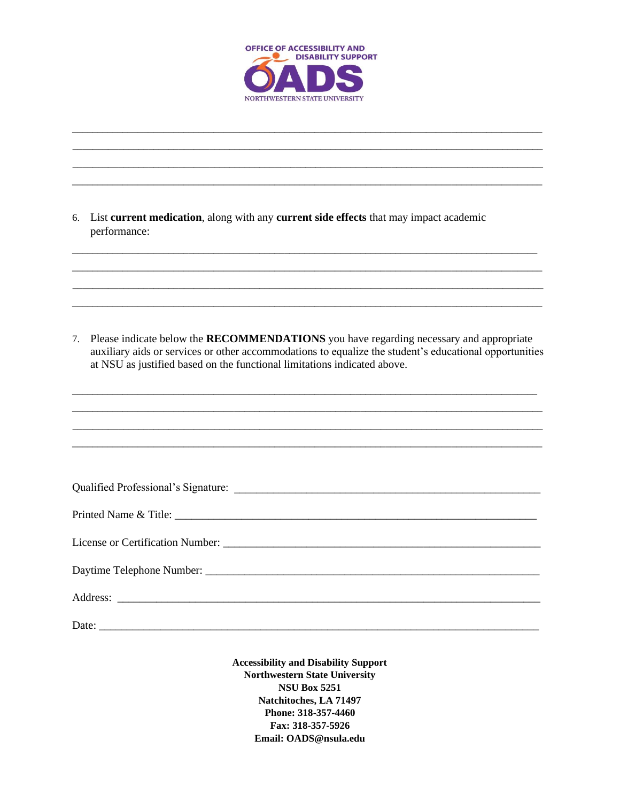

| 6.                               | List current medication, along with any current side effects that may impact academic<br>performance:                                                                                                                                                                               |
|----------------------------------|-------------------------------------------------------------------------------------------------------------------------------------------------------------------------------------------------------------------------------------------------------------------------------------|
|                                  |                                                                                                                                                                                                                                                                                     |
| $7_{\scriptscriptstyle{\ddots}}$ | Please indicate below the <b>RECOMMENDATIONS</b> you have regarding necessary and appropriate<br>auxiliary aids or services or other accommodations to equalize the student's educational opportunities<br>at NSU as justified based on the functional limitations indicated above. |
|                                  |                                                                                                                                                                                                                                                                                     |
|                                  |                                                                                                                                                                                                                                                                                     |
|                                  |                                                                                                                                                                                                                                                                                     |
|                                  |                                                                                                                                                                                                                                                                                     |
|                                  |                                                                                                                                                                                                                                                                                     |
|                                  |                                                                                                                                                                                                                                                                                     |
|                                  |                                                                                                                                                                                                                                                                                     |
|                                  |                                                                                                                                                                                                                                                                                     |

**Accessibility and Disability Support Northwestern State University NSU Box 5251** Natchitoches, LA 71497 Phone: 318-357-4460 Fax: 318-357-5926 Email: OADS@nsula.edu